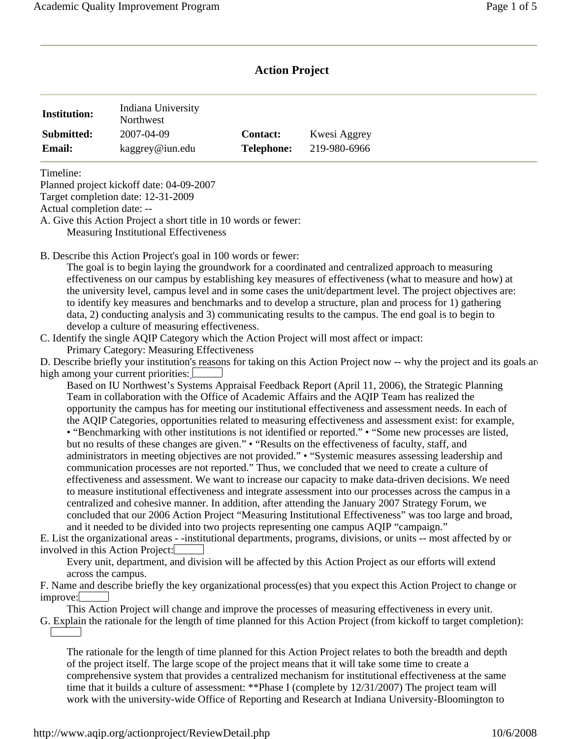# **Action Project**

| <b>Institution:</b> | Indiana University<br>Northwest |                   |              |
|---------------------|---------------------------------|-------------------|--------------|
| Submitted:          | 2007-04-09                      | <b>Contact:</b>   | Kwesi Aggrey |
| <b>Email:</b>       | kaggrey@iun.edu                 | <b>Telephone:</b> | 219-980-6966 |

Timeline:

Planned project kickoff date: 04-09-2007

Target completion date: 12-31-2009

Actual completion date: --

A. Give this Action Project a short title in 10 words or fewer: Measuring Institutional Effectiveness

B. Describe this Action Project's goal in 100 words or fewer:

The goal is to begin laying the groundwork for a coordinated and centralized approach to measuring effectiveness on our campus by establishing key measures of effectiveness (what to measure and how) at the university level, campus level and in some cases the unit/department level. The project objectives are: to identify key measures and benchmarks and to develop a structure, plan and process for 1) gathering data, 2) conducting analysis and 3) communicating results to the campus. The end goal is to begin to develop a culture of measuring effectiveness.

C. Identify the single AQIP Category which the Action Project will most affect or impact: Primary Category: Measuring Effectiveness

D. Describe briefly your institution's reasons for taking on this Action Project now -- why the project and its goals are high among your current priorities:

Based on IU Northwest's Systems Appraisal Feedback Report (April 11, 2006), the Strategic Planning Team in collaboration with the Office of Academic Affairs and the AQIP Team has realized the opportunity the campus has for meeting our institutional effectiveness and assessment needs. In each of the AQIP Categories, opportunities related to measuring effectiveness and assessment exist: for example, • "Benchmarking with other institutions is not identified or reported." • "Some new processes are listed, but no results of these changes are given." • "Results on the effectiveness of faculty, staff, and administrators in meeting objectives are not provided." • "Systemic measures assessing leadership and communication processes are not reported." Thus, we concluded that we need to create a culture of effectiveness and assessment. We want to increase our capacity to make data-driven decisions. We need to measure institutional effectiveness and integrate assessment into our processes across the campus in a centralized and cohesive manner. In addition, after attending the January 2007 Strategy Forum, we concluded that our 2006 Action Project "Measuring Institutional Effectiveness" was too large and broad, and it needed to be divided into two projects representing one campus AQIP "campaign."

E. List the organizational areas - -institutional departments, programs, divisions, or units -- most affected by or involved in this Action Project:

Every unit, department, and division will be affected by this Action Project as our efforts will extend across the campus.

F. Name and describe briefly the key organizational process(es) that you expect this Action Project to change or improve:

This Action Project will change and improve the processes of measuring effectiveness in every unit.

G. Explain the rationale for the length of time planned for this Action Project (from kickoff to target completion):

The rationale for the length of time planned for this Action Project relates to both the breadth and depth of the project itself. The large scope of the project means that it will take some time to create a comprehensive system that provides a centralized mechanism for institutional effectiveness at the same time that it builds a culture of assessment: \*\*Phase I (complete by 12/31/2007) The project team will work with the university-wide Office of Reporting and Research at Indiana University-Bloomington to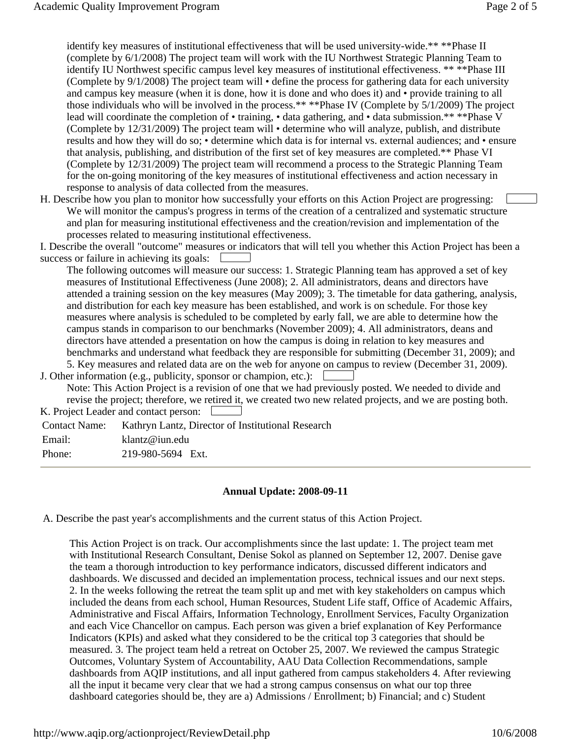identify key measures of institutional effectiveness that will be used university-wide.\*\* \*\*Phase II (complete by 6/1/2008) The project team will work with the IU Northwest Strategic Planning Team to identify IU Northwest specific campus level key measures of institutional effectiveness. \*\* \*\*Phase III (Complete by 9/1/2008) The project team will • define the process for gathering data for each university and campus key measure (when it is done, how it is done and who does it) and • provide training to all those individuals who will be involved in the process.\*\* \*\*Phase IV (Complete by 5/1/2009) The project lead will coordinate the completion of • training, • data gathering, and • data submission.\*\* \*\*Phase V (Complete by 12/31/2009) The project team will • determine who will analyze, publish, and distribute results and how they will do so; • determine which data is for internal vs. external audiences; and • ensure that analysis, publishing, and distribution of the first set of key measures are completed.\*\* Phase VI (Complete by 12/31/2009) The project team will recommend a process to the Strategic Planning Team for the on-going monitoring of the key measures of institutional effectiveness and action necessary in response to analysis of data collected from the measures.

H. Describe how you plan to monitor how successfully your efforts on this Action Project are progressing: We will monitor the campus's progress in terms of the creation of a centralized and systematic structure and plan for measuring institutional effectiveness and the creation/revision and implementation of the processes related to measuring institutional effectiveness.

 success or failure in achieving its goals: I. Describe the overall "outcome" measures or indicators that will tell you whether this Action Project has been a

The following outcomes will measure our success: 1. Strategic Planning team has approved a set of key measures of Institutional Effectiveness (June 2008); 2. All administrators, deans and directors have attended a training session on the key measures (May 2009); 3. The timetable for data gathering, analysis, and distribution for each key measure has been established, and work is on schedule. For those key measures where analysis is scheduled to be completed by early fall, we are able to determine how the campus stands in comparison to our benchmarks (November 2009); 4. All administrators, deans and directors have attended a presentation on how the campus is doing in relation to key measures and benchmarks and understand what feedback they are responsible for submitting (December 31, 2009); and 5. Key measures and related data are on the web for anyone on campus to review (December 31, 2009).

 J. Other information (e.g., publicity, sponsor or champion, etc.): Note: This Action Project is a revision of one that we had previously posted. We needed to divide and revise the project; therefore, we retired it, we created two new related projects, and we are posting both.

K. Project Leader and contact person:

Contact Name: Kathryn Lantz, Director of Institutional Research

Email: klantz@iun.edu

Phone: 219-980-5694 Ext.

#### **Annual Update: 2008-09-11**

A. Describe the past year's accomplishments and the current status of this Action Project.

This Action Project is on track. Our accomplishments since the last update: 1. The project team met with Institutional Research Consultant, Denise Sokol as planned on September 12, 2007. Denise gave the team a thorough introduction to key performance indicators, discussed different indicators and dashboards. We discussed and decided an implementation process, technical issues and our next steps. 2. In the weeks following the retreat the team split up and met with key stakeholders on campus which included the deans from each school, Human Resources, Student Life staff, Office of Academic Affairs, Administrative and Fiscal Affairs, Information Technology, Enrollment Services, Faculty Organization and each Vice Chancellor on campus. Each person was given a brief explanation of Key Performance Indicators (KPIs) and asked what they considered to be the critical top 3 categories that should be measured. 3. The project team held a retreat on October 25, 2007. We reviewed the campus Strategic Outcomes, Voluntary System of Accountability, AAU Data Collection Recommendations, sample dashboards from AQIP institutions, and all input gathered from campus stakeholders 4. After reviewing all the input it became very clear that we had a strong campus consensus on what our top three dashboard categories should be, they are a) Admissions / Enrollment; b) Financial; and c) Student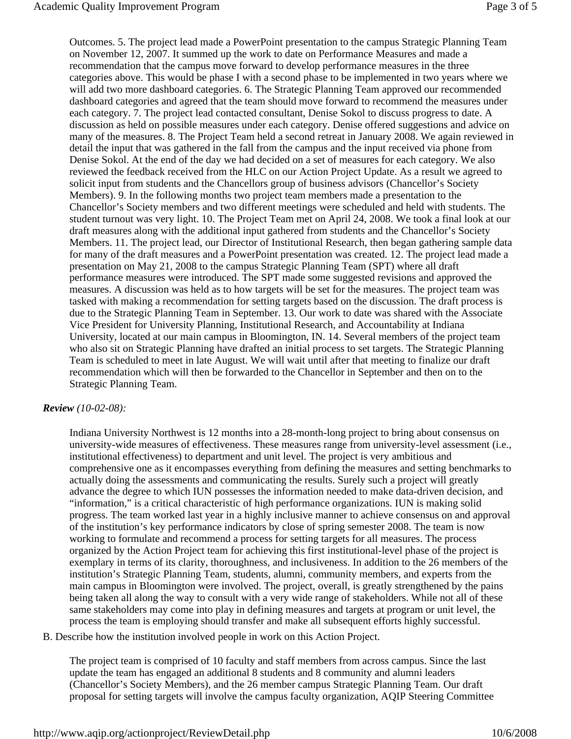Outcomes. 5. The project lead made a PowerPoint presentation to the campus Strategic Planning Team on November 12, 2007. It summed up the work to date on Performance Measures and made a recommendation that the campus move forward to develop performance measures in the three categories above. This would be phase I with a second phase to be implemented in two years where we will add two more dashboard categories. 6. The Strategic Planning Team approved our recommended dashboard categories and agreed that the team should move forward to recommend the measures under each category. 7. The project lead contacted consultant, Denise Sokol to discuss progress to date. A discussion as held on possible measures under each category. Denise offered suggestions and advice on many of the measures. 8. The Project Team held a second retreat in January 2008. We again reviewed in detail the input that was gathered in the fall from the campus and the input received via phone from Denise Sokol. At the end of the day we had decided on a set of measures for each category. We also reviewed the feedback received from the HLC on our Action Project Update. As a result we agreed to solicit input from students and the Chancellors group of business advisors (Chancellor's Society Members). 9. In the following months two project team members made a presentation to the Chancellor's Society members and two different meetings were scheduled and held with students. The student turnout was very light. 10. The Project Team met on April 24, 2008. We took a final look at our draft measures along with the additional input gathered from students and the Chancellor's Society Members. 11. The project lead, our Director of Institutional Research, then began gathering sample data for many of the draft measures and a PowerPoint presentation was created. 12. The project lead made a presentation on May 21, 2008 to the campus Strategic Planning Team (SPT) where all draft performance measures were introduced. The SPT made some suggested revisions and approved the measures. A discussion was held as to how targets will be set for the measures. The project team was tasked with making a recommendation for setting targets based on the discussion. The draft process is due to the Strategic Planning Team in September. 13. Our work to date was shared with the Associate Vice President for University Planning, Institutional Research, and Accountability at Indiana University, located at our main campus in Bloomington, IN. 14. Several members of the project team who also sit on Strategic Planning have drafted an initial process to set targets. The Strategic Planning Team is scheduled to meet in late August. We will wait until after that meeting to finalize our draft recommendation which will then be forwarded to the Chancellor in September and then on to the Strategic Planning Team.

#### *Review (10-02-08):*

Indiana University Northwest is 12 months into a 28-month-long project to bring about consensus on university-wide measures of effectiveness. These measures range from university-level assessment (i.e., institutional effectiveness) to department and unit level. The project is very ambitious and comprehensive one as it encompasses everything from defining the measures and setting benchmarks to actually doing the assessments and communicating the results. Surely such a project will greatly advance the degree to which IUN possesses the information needed to make data-driven decision, and "information," is a critical characteristic of high performance organizations. IUN is making solid progress. The team worked last year in a highly inclusive manner to achieve consensus on and approval of the institution's key performance indicators by close of spring semester 2008. The team is now working to formulate and recommend a process for setting targets for all measures. The process organized by the Action Project team for achieving this first institutional-level phase of the project is exemplary in terms of its clarity, thoroughness, and inclusiveness. In addition to the 26 members of the institution's Strategic Planning Team, students, alumni, community members, and experts from the main campus in Bloomington were involved. The project, overall, is greatly strengthened by the pains being taken all along the way to consult with a very wide range of stakeholders. While not all of these same stakeholders may come into play in defining measures and targets at program or unit level, the process the team is employing should transfer and make all subsequent efforts highly successful.

B. Describe how the institution involved people in work on this Action Project.

The project team is comprised of 10 faculty and staff members from across campus. Since the last update the team has engaged an additional 8 students and 8 community and alumni leaders (Chancellor's Society Members), and the 26 member campus Strategic Planning Team. Our draft proposal for setting targets will involve the campus faculty organization, AQIP Steering Committee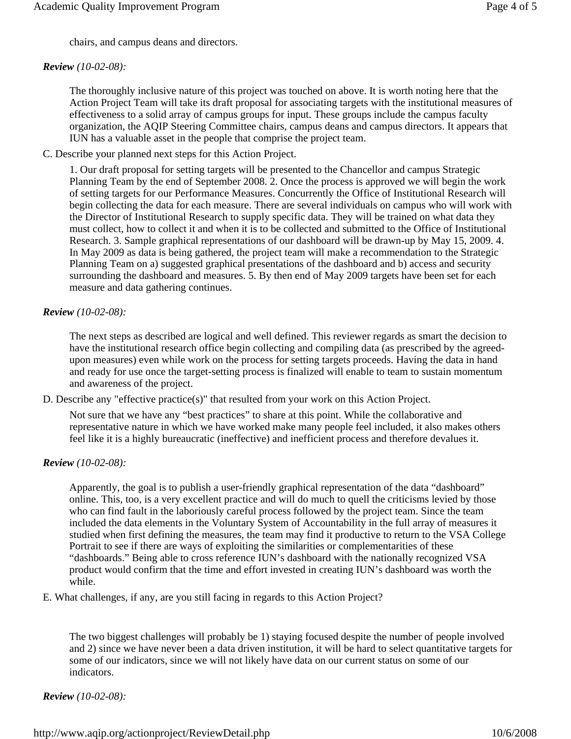chairs, and campus deans and directors.

## *Review (10-02-08):*

The thoroughly inclusive nature of this project was touched on above. It is worth noting here that the Action Project Team will take its draft proposal for associating targets with the institutional measures of effectiveness to a solid array of campus groups for input. These groups include the campus faculty organization, the AQIP Steering Committee chairs, campus deans and campus directors. It appears that IUN has a valuable asset in the people that comprise the project team.

C. Describe your planned next steps for this Action Project.

1. Our draft proposal for setting targets will be presented to the Chancellor and campus Strategic Planning Team by the end of September 2008. 2. Once the process is approved we will begin the work of setting targets for our Performance Measures. Concurrently the Office of Institutional Research will begin collecting the data for each measure. There are several individuals on campus who will work with the Director of Institutional Research to supply specific data. They will be trained on what data they must collect, how to collect it and when it is to be collected and submitted to the Office of Institutional Research. 3. Sample graphical representations of our dashboard will be drawn-up by May 15, 2009. 4. In May 2009 as data is being gathered, the project team will make a recommendation to the Strategic Planning Team on a) suggested graphical presentations of the dashboard and b) access and security surrounding the dashboard and measures. 5. By then end of May 2009 targets have been set for each measure and data gathering continues.

## *Review (10-02-08):*

The next steps as described are logical and well defined. This reviewer regards as smart the decision to have the institutional research office begin collecting and compiling data (as prescribed by the agreedupon measures) even while work on the process for setting targets proceeds. Having the data in hand and ready for use once the target-setting process is finalized will enable to team to sustain momentum and awareness of the project.

D. Describe any "effective practice(s)" that resulted from your work on this Action Project.

Not sure that we have any "best practices" to share at this point. While the collaborative and representative nature in which we have worked make many people feel included, it also makes others feel like it is a highly bureaucratic (ineffective) and inefficient process and therefore devalues it.

## *Review (10-02-08):*

Apparently, the goal is to publish a user-friendly graphical representation of the data "dashboard" online. This, too, is a very excellent practice and will do much to quell the criticisms levied by those who can find fault in the laboriously careful process followed by the project team. Since the team included the data elements in the Voluntary System of Accountability in the full array of measures it studied when first defining the measures, the team may find it productive to return to the VSA College Portrait to see if there are ways of exploiting the similarities or complementarities of these "dashboards." Being able to cross reference IUN's dashboard with the nationally recognized VSA product would confirm that the time and effort invested in creating IUN's dashboard was worth the while.

E. What challenges, if any, are you still facing in regards to this Action Project?

The two biggest challenges will probably be 1) staying focused despite the number of people involved and 2) since we have never been a data driven institution, it will be hard to select quantitative targets for some of our indicators, since we will not likely have data on our current status on some of our indicators.

*Review (10-02-08):*